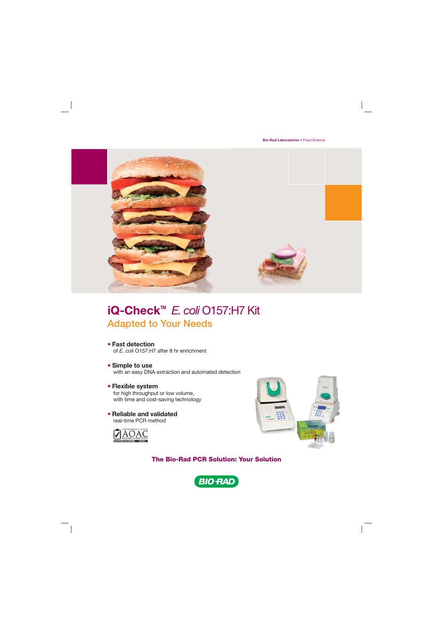

# **iQ-Check™** *E. coli* O157:H7 Kit Adapted to Your Needs

- **Fast detection** of *E. coli* O157:H7 after 8 hr enrichment
- **Simple to use** with an easy DNA extraction and automated detection
- **Flexible system** for high throughput or low volume, with time and cost-saving technology
- **Reliable and validated** real-time PCR method





**The Bio-Rad PCR Solution: Your Solution**